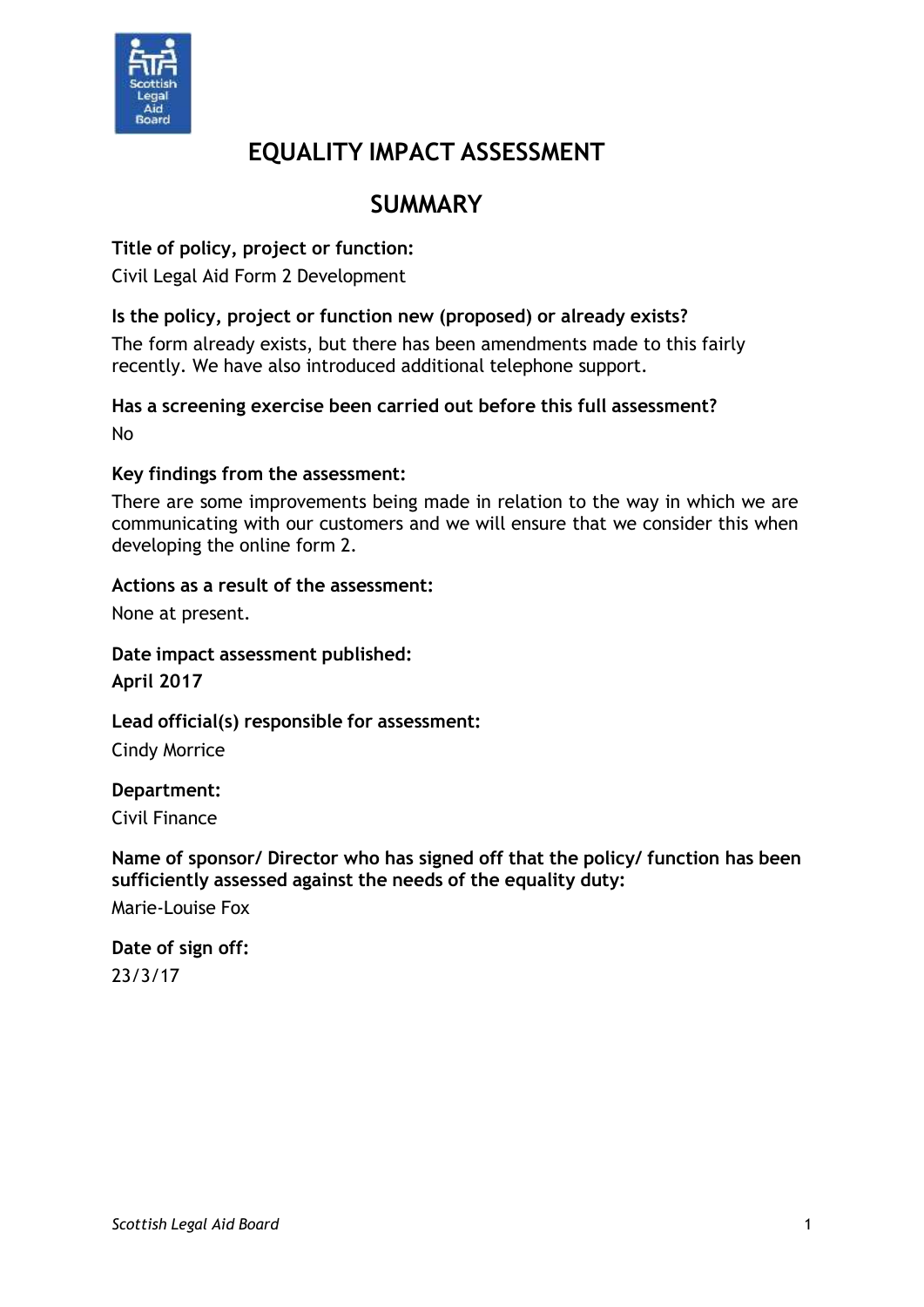

# **EQUALITY IMPACT ASSESSMENT**

# **SUMMARY**

## **Title of policy, project or function:**

Civil Legal Aid Form 2 Development

#### **Is the policy, project or function new (proposed) or already exists?**

The form already exists, but there has been amendments made to this fairly recently. We have also introduced additional telephone support.

#### **Has a screening exercise been carried out before this full assessment?** No

#### **Key findings from the assessment:**

There are some improvements being made in relation to the way in which we are communicating with our customers and we will ensure that we consider this when developing the online form 2.

#### **Actions as a result of the assessment:**

None at present.

#### **Date impact assessment published: April 2017**

#### **Lead official(s) responsible for assessment:**

Cindy Morrice

#### **Department:**

Civil Finance

#### **Name of sponsor/ Director who has signed off that the policy/ function has been sufficiently assessed against the needs of the equality duty:** Marie-Louise Fox

## **Date of sign off:** 23/3/17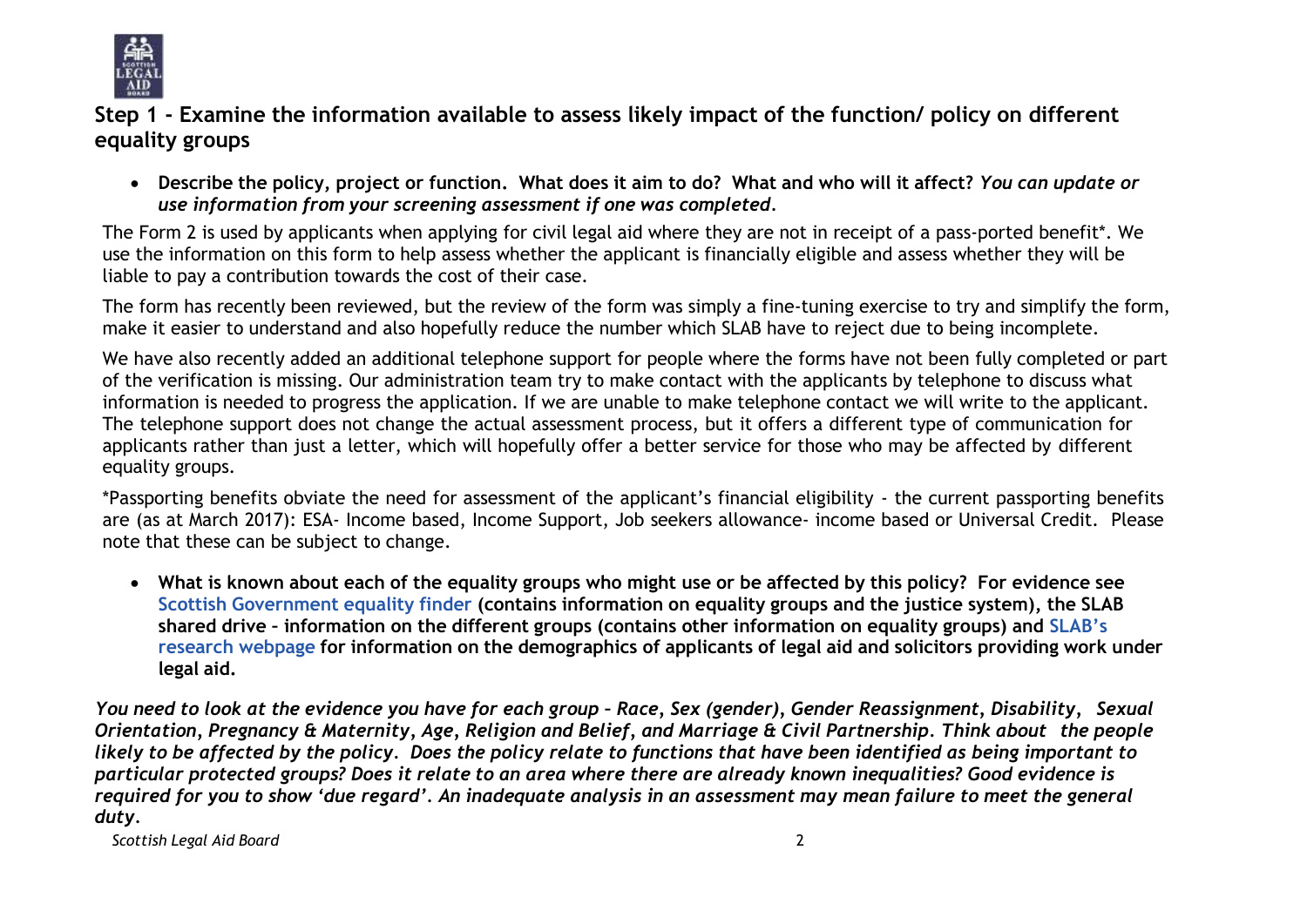

**Step 1 - Examine the information available to assess likely impact of the function/ policy on different equality groups**

• Describe the policy, project or function, What does it aim to do? What and who will it affect? You can update or *use information from your screening assessment if one was completed.*

The Form 2 is used by applicants when applying for civil legal aid where they are not in receipt of a pass-ported benefit\*. We use the information on this form to help assess whether the applicant is financially eligible and assess whether they will be liable to pay a contribution towards the cost of their case.

The form has recently been reviewed, but the review of the form was simply a fine-tuning exercise to try and simplify the form, make it easier to understand and also hopefully reduce the number which SLAB have to reject due to being incomplete.

We have also recently added an additional telephone support for people where the forms have not been fully completed or part of the verification is missing. Our administration team try to make contact with the applicants by telephone to discuss what information is needed to progress the application. If we are unable to make telephone contact we will write to the applicant. The telephone support does not change the actual assessment process, but it offers a different type of communication for applicants rather than just a letter, which will hopefully offer a better service for those who may be affected by different equality groups.

\*Passporting benefits obviate the need for assessment of the applicant's financial eligibility - the current passporting benefits are (as at March 2017): ESA- Income based, Income Support, Job seekers allowance- income based or Universal Credit. Please note that these can be subject to change.

• What is known about each of the equality groups who might use or be affected by this policy? For evidence see **Scottish [Government](http://www.scotland.gov.uk/Topics/People/Equality/Equalities/DataGrid) equality finder (contains information on equality groups and the justice system), the SLAB** shared drive - information on the different groups (contains other information on equality groups) and [SLAB](http://www.slab.org.uk/about-us/what-we-do/research/index.html)'s research [webpage](http://www.slab.org.uk/about-us/what-we-do/research/index.html) for information on the demographics of applicants of legal aid and solicitors providing work under **legal aid.**

You need to look at the evidence you have for each group - Race, Sex (gender), Gender Reassignment, Disability, Sexual Orientation, Pregnancy & Maternity, Age, Religion and Belief, and Marriage & Civil Partnership. Think about the people likely to be affected by the policy. Does the policy relate to functions that have been identified as being important to particular protected groups? Does it relate to an area where there are already known inequalities? Good evidence is required for you to show 'due regard'. An inadequate analysis in an assessment may mean failure to meet the general *duty.*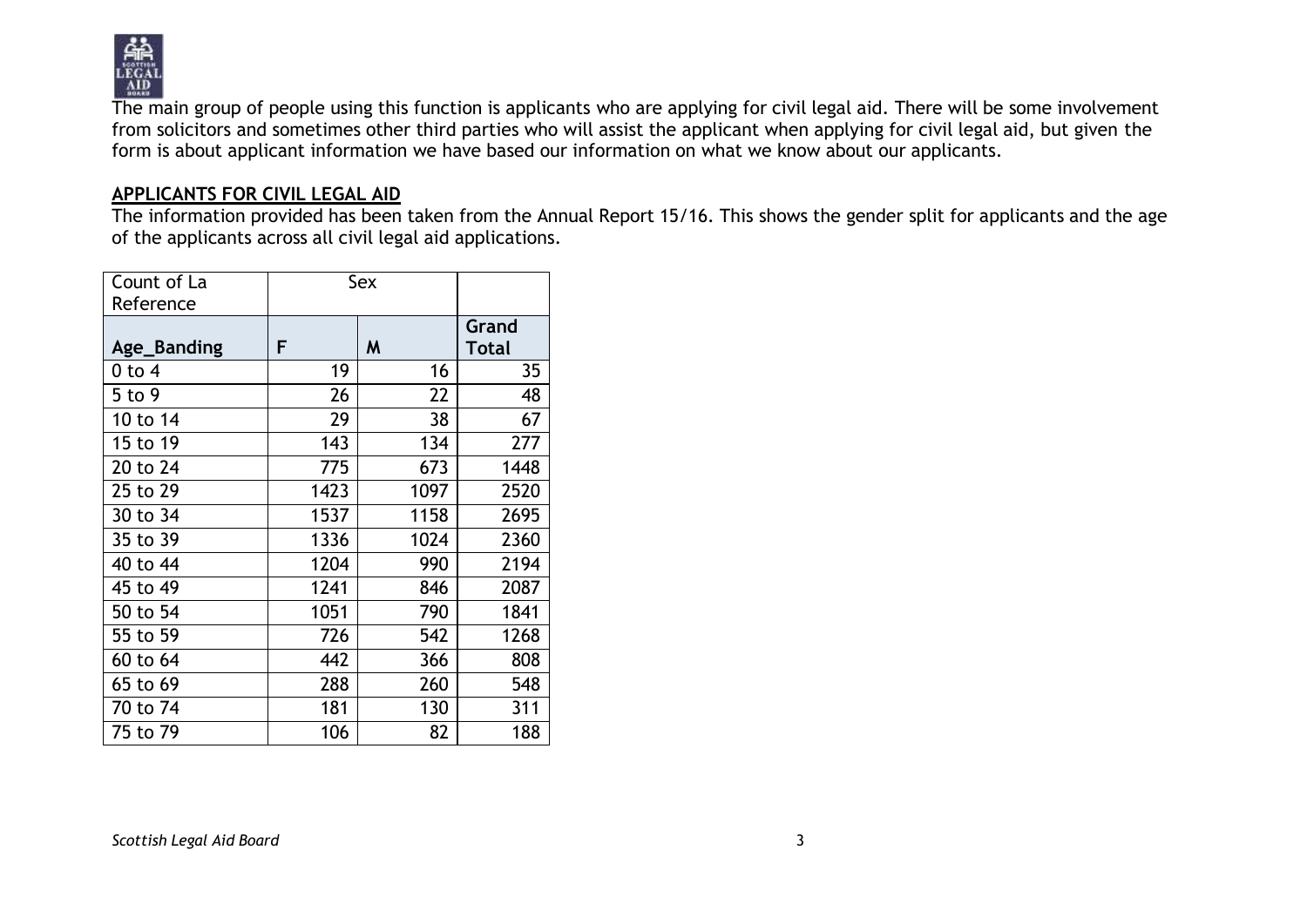

The main group of people using this function is applicants who are applying for civil legal aid. There will be some involvement from solicitors and sometimes other third parties who will assist the applicant when applying for civil legal aid, but given the form is about applicant information we have based our information on what we know about our applicants.

#### **APPLICANTS FOR CIVIL LEGAL AID**

The information provided has been taken from the Annual Report 15/16. This shows the gender split for applicants and the age of the applicants across all civil legal aid applications.

| Count of La | Sex  |      |                |
|-------------|------|------|----------------|
| Reference   |      |      |                |
| Age_Banding | F    | M    | Grand<br>Total |
| 0 to 4      | 19   | 16   | 35             |
| 5 to 9      | 26   | 22   | 48             |
| 10 to 14    | 29   | 38   | 67             |
| 15 to 19    | 143  | 134  | 277            |
| 20 to 24    | 775  | 673  | 1448           |
| 25 to 29    | 1423 | 1097 | 2520           |
| 30 to 34    | 1537 | 1158 | 2695           |
| 35 to 39    | 1336 | 1024 | 2360           |
| 40 to 44    | 1204 | 990  | 2194           |
| 45 to 49    | 1241 | 846  | 2087           |
| 50 to 54    | 1051 | 790  | 1841           |
| 55 to 59    | 726  | 542  | 1268           |
| 60 to 64    | 442  | 366  | 808            |
| 65 to 69    | 288  | 260  | 548            |
| 70 to 74    | 181  | 130  | 311            |
| 75 to 79    | 106  | 82   | 188            |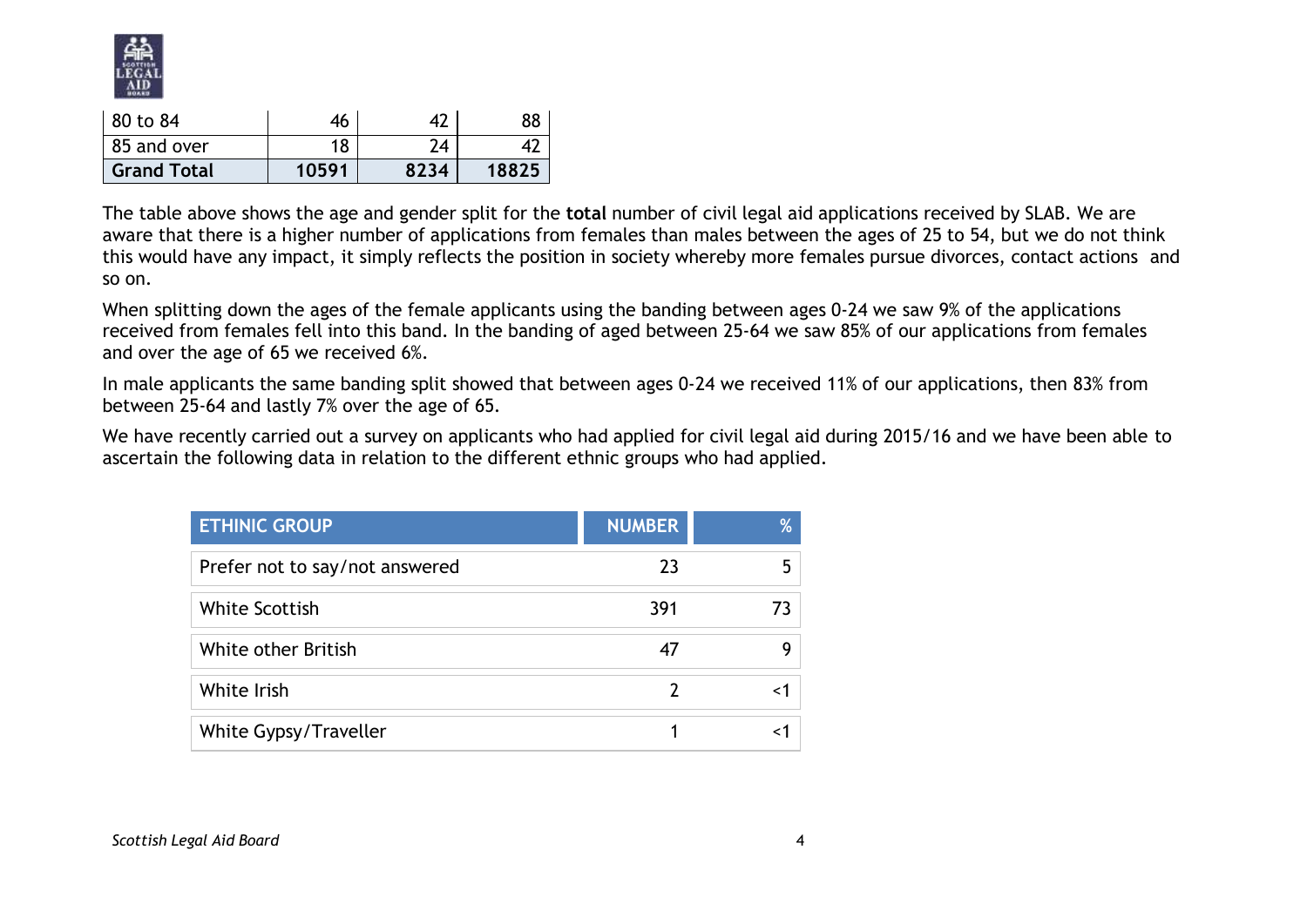

| 80 to 84           | 46    |      | 88    |
|--------------------|-------|------|-------|
| 85 and over        | 18    | 74   |       |
| <b>Grand Total</b> | 10591 | 8234 | 18825 |

The table above shows the age and gender split for the **total** number of civil legal aid applications received by SLAB. We are aware that there is a higher number of applications from females than males between the ages of 25 to 54, but we do not think this would have any impact, it simply reflects the position in society whereby more females pursue divorces, contact actions and so on.

When splitting down the ages of the female applicants using the banding between ages 0-24 we saw 9% of the applications received from females fell into this band. In the banding of aged between 25-64 we saw 85% of our applications from females and over the age of 65 we received 6%.

In male applicants the same banding split showed that between ages 0-24 we received 11% of our applications, then 83% from between 25-64 and lastly 7% over the age of 65.

We have recently carried out a survey on applicants who had applied for civil legal aid during 2015/16 and we have been able to ascertain the following data in relation to the different ethnic groups who had applied.

| <b>ETHINIC GROUP</b>           | <b>NUMBER</b> | % |
|--------------------------------|---------------|---|
| Prefer not to say/not answered | 23            |   |
| <b>White Scottish</b>          | 391           |   |
| White other British            | 47            | Q |
| White Irish                    |               |   |
| White Gypsy/Traveller          |               |   |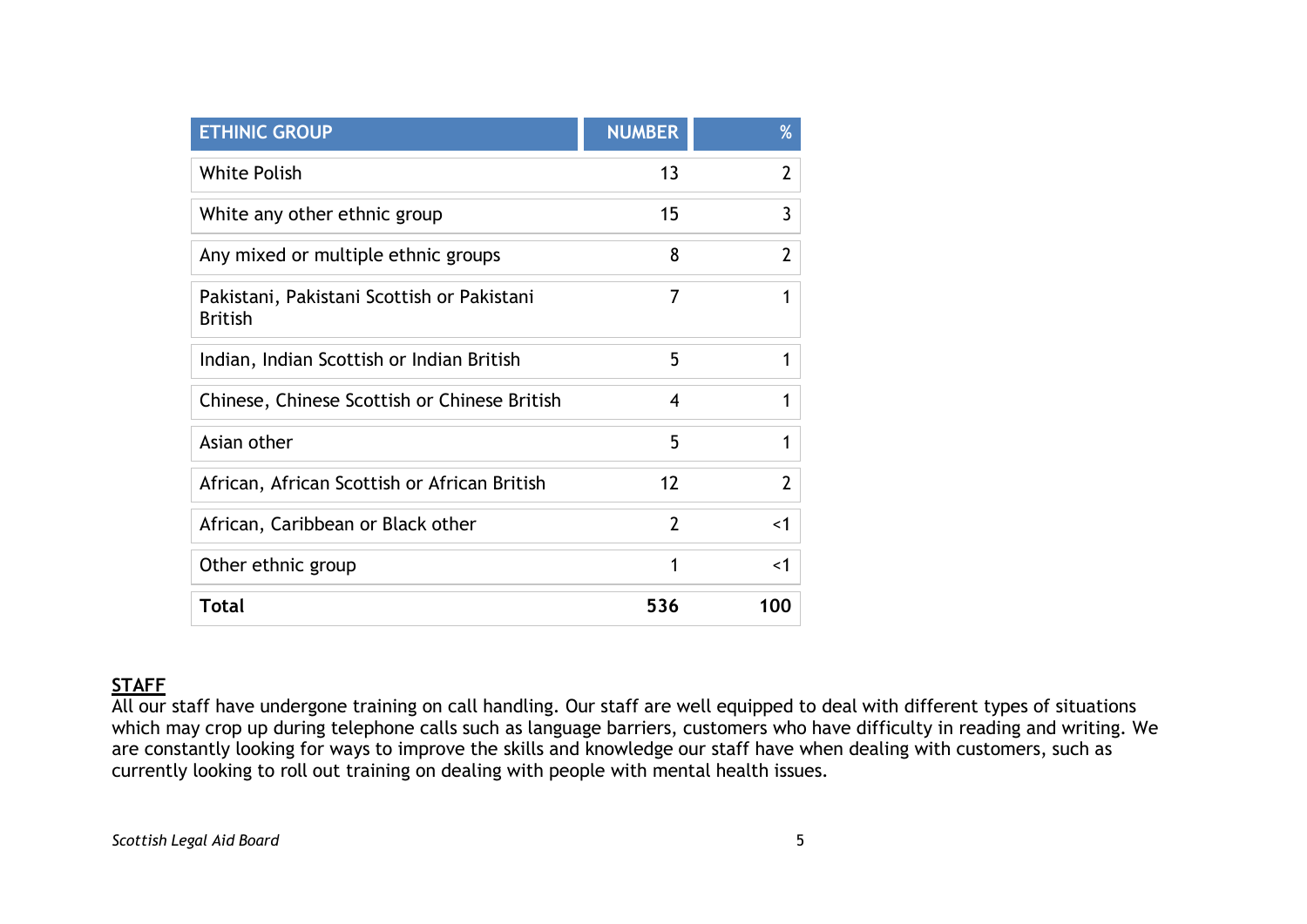| <b>ETHINIC GROUP</b>                                         | <b>NUMBER</b>  | %              |
|--------------------------------------------------------------|----------------|----------------|
| <b>White Polish</b>                                          | 13             | 2              |
| White any other ethnic group                                 | 15             | 3              |
| Any mixed or multiple ethnic groups                          | 8              | $\mathfrak{p}$ |
| Pakistani, Pakistani Scottish or Pakistani<br><b>British</b> | 7              | 1              |
| Indian, Indian Scottish or Indian British                    | 5              | 1              |
| Chinese, Chinese Scottish or Chinese British                 | $\overline{4}$ | 1              |
| Asian other                                                  | 5              | 1              |
| African, African Scottish or African British                 | 12             | $\overline{2}$ |
| African, Caribbean or Black other                            | $\overline{2}$ | $\leq$ 1       |
| Other ethnic group                                           | 1              | $\leq$ 1       |
| <b>Total</b>                                                 | 536            | 100            |

## **STAFF**

All our staff have undergone training on call handling. Our staff are well equipped to deal with different types of situations which may crop up during telephone calls such as language barriers, customers who have difficulty in reading and writing. We are constantly looking for ways to improve the skills and knowledge our staff have when dealing with customers, such as currently looking to roll out training on dealing with people with mental health issues.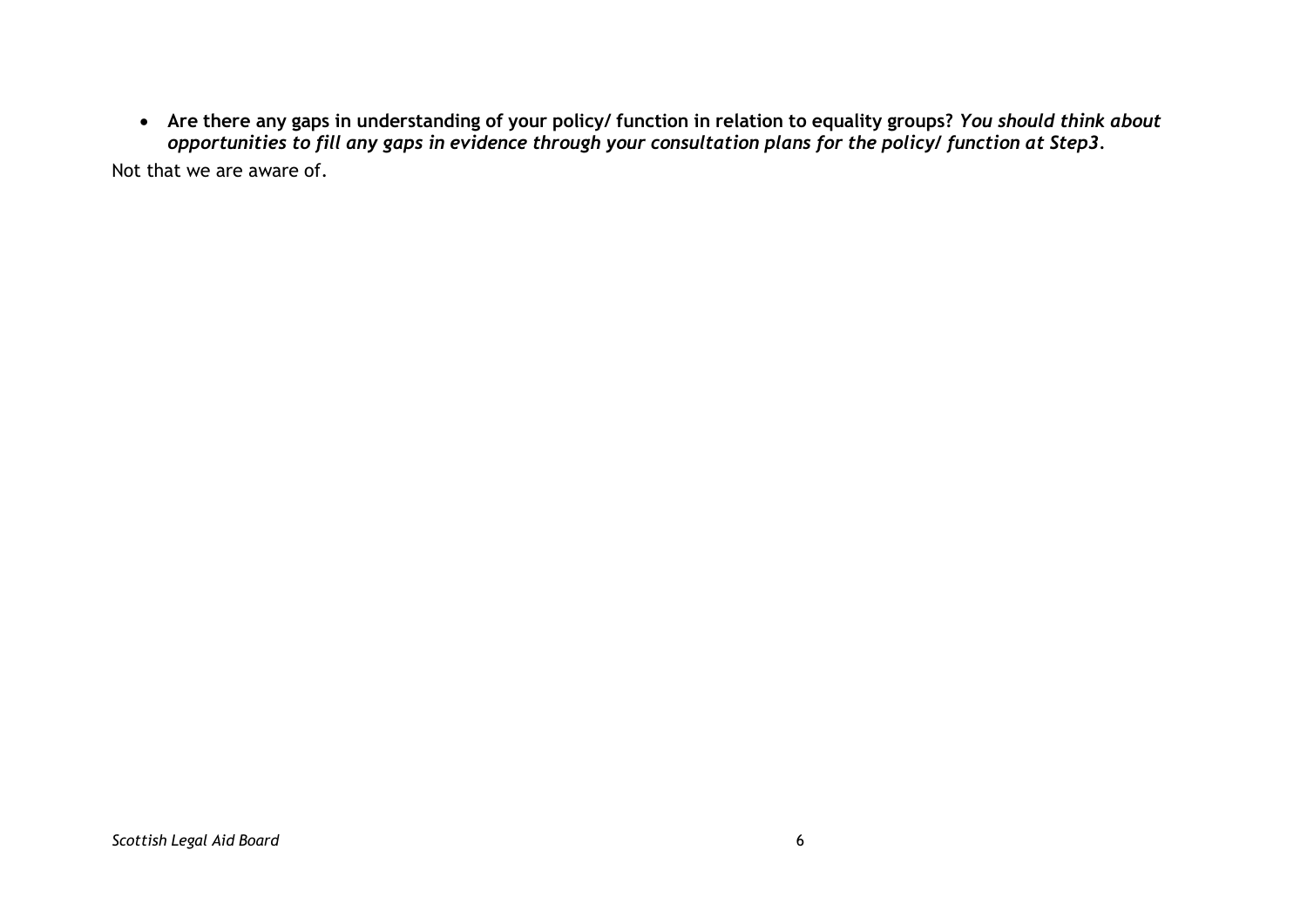• Are there any gaps in understanding of your policy/ function in relation to equality groups? You should think about opportunities to fill any gaps in evidence through your consultation plans for the policy/ function at Step3. Not that we are aware of.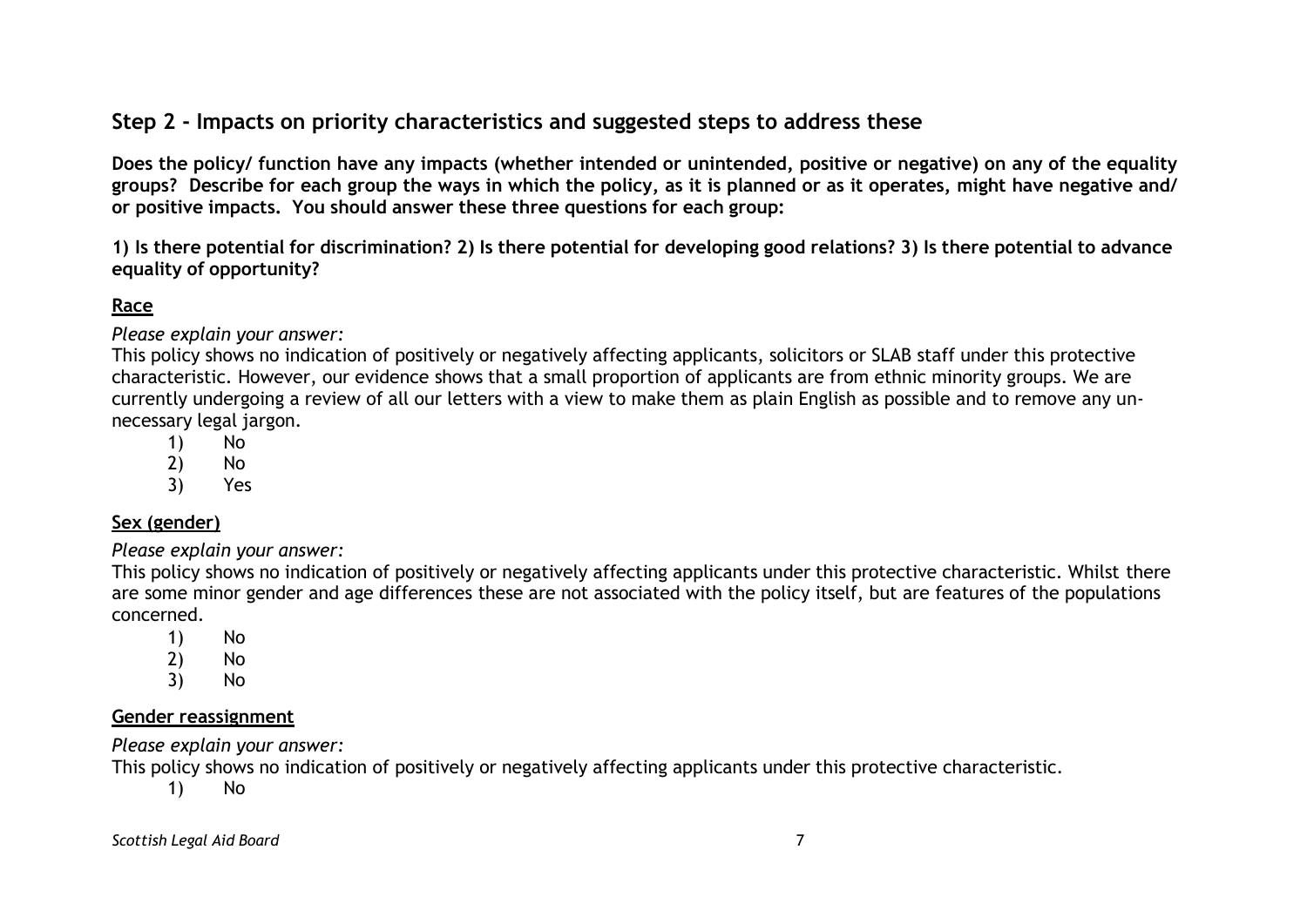# **Step 2 - Impacts on priority characteristics and suggested steps to address these**

Does the policy/ function have any impacts (whether intended or unintended, positive or negative) on any of the equality groups? Describe for each group the ways in which the policy, as it is planned or as it operates, might have negative and/ **or positive impacts. You should answer these three questions for each group:**

1) Is there potential for discrimination? 2) Is there potential for developing good relations? 3) Is there potential to advance **equality of opportunity?**

## **Race**

*Please explain your answer:*

This policy shows no indication of positively or negatively affecting applicants, solicitors or SLAB staff under this protective characteristic. However, our evidence shows that a small proportion of applicants are from ethnic minority groups. We are currently undergoing a review of all our letters with a view to make them as plain English as possible and to remove any unnecessary legal jargon.

- 1) No
- 2) No
- 3) Yes

## **Sex (gender)**

*Please explain your answer:*

This policy shows no indication of positively or negatively affecting applicants under this protective characteristic. Whilst there are some minor gender and age differences these are not associated with the policy itself, but are features of the populations concerned.

- 1) No
- 2) No
- 3) No

#### **Gender reassignment**

*Please explain your answer:*

This policy shows no indication of positively or negatively affecting applicants under this protective characteristic.

1) No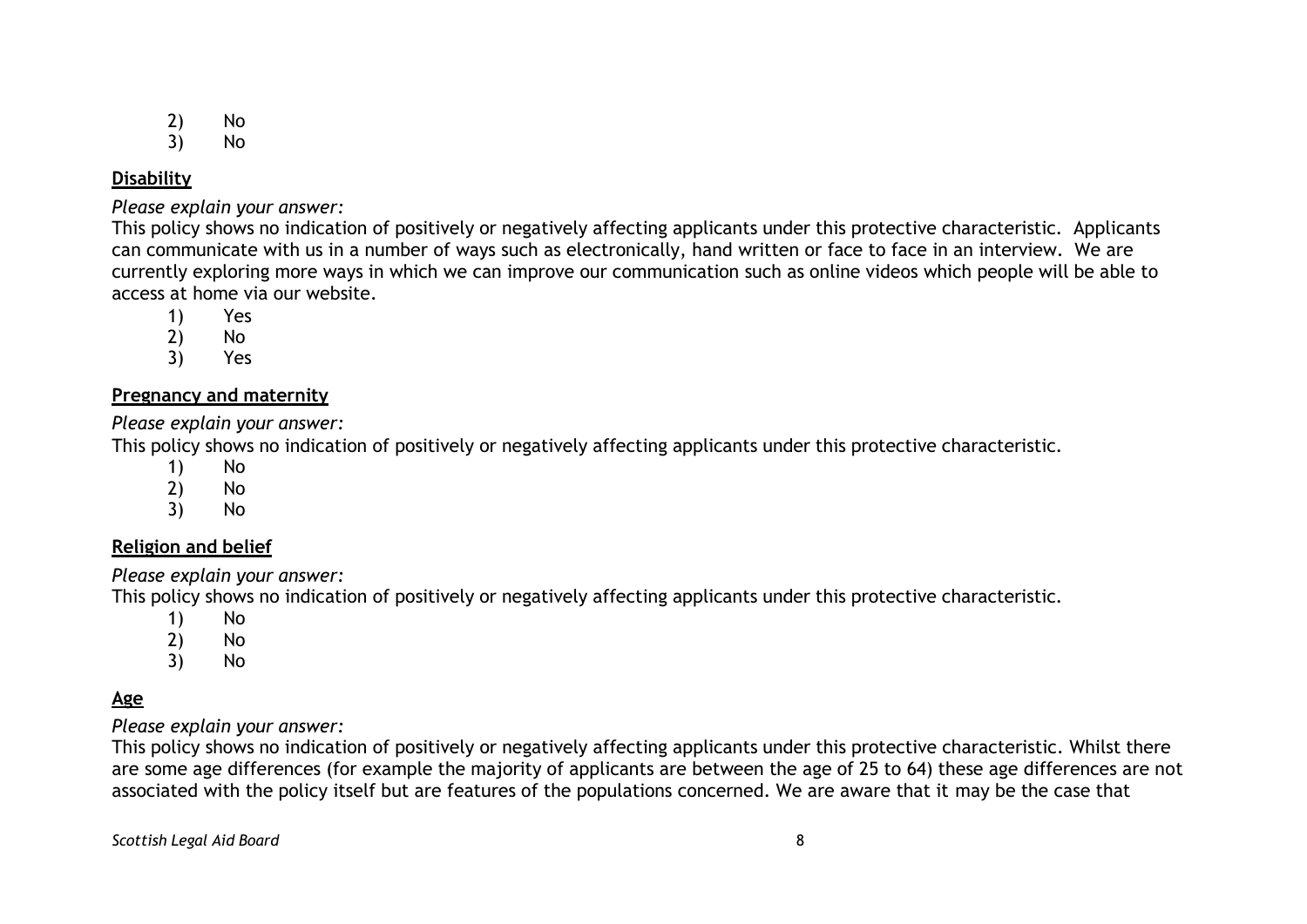- 2) No
- 3) No

## **Disability**

*Please explain your answer:*

This policy shows no indication of positively or negatively affecting applicants under this protective characteristic. Applicants can communicate with us in a number of ways such as electronically, hand written or face to face in an interview. We are currently exploring more ways in which we can improve our communication such as online videos which people will be able to access at home via our website.

- 1) Yes
- 2) No
- 3) Yes

## **Pregnancy and maternity**

*Please explain your answer:*

This policy shows no indication of positively or negatively affecting applicants under this protective characteristic.

- 1) No
- 2) No
- 3) No

## **Religion and belief**

*Please explain your answer:*

This policy shows no indication of positively or negatively affecting applicants under this protective characteristic.

- 1) No
- 2) No
- 3) No

# **Age**

*Please explain your answer:*

This policy shows no indication of positively or negatively affecting applicants under this protective characteristic. Whilst there are some age differences (for example the majority of applicants are between the age of 25 to 64) these age differences are not associated with the policy itself but are features of the populations concerned. We are aware that it may be the case that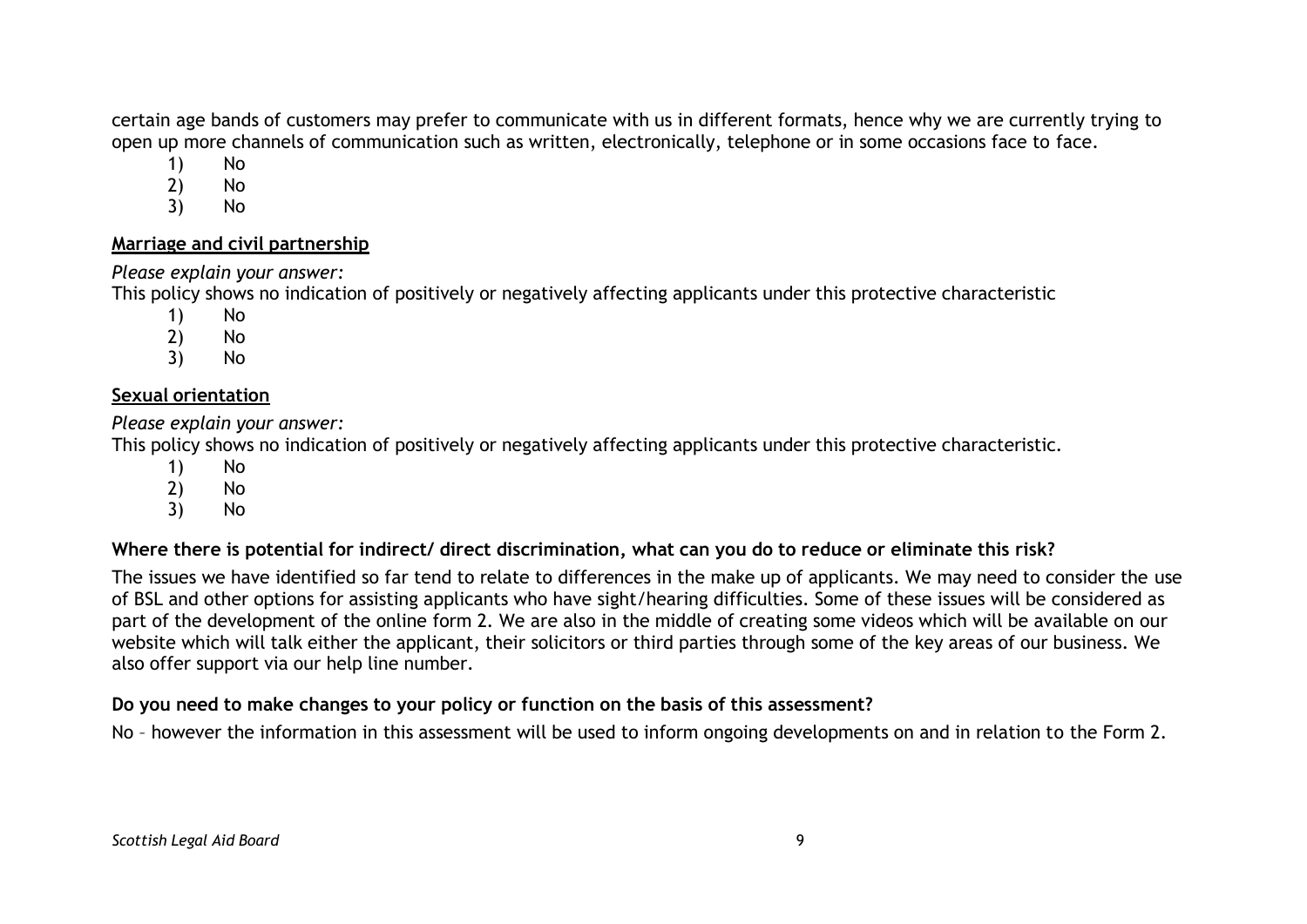certain age bands of customers may prefer to communicate with us in different formats, hence why we are currently trying to open up more channels of communication such as written, electronically, telephone or in some occasions face to face.

- 1) No
- 2) No
- 3) No

#### **Marriage and civil partnership**

## *Please explain your answer:*

This policy shows no indication of positively or negatively affecting applicants under this protective characteristic

- 1) No
- 2) No
- 3) No

## **Sexual orientation**

*Please explain your answer:*

This policy shows no indication of positively or negatively affecting applicants under this protective characteristic.

- 1) No
- 2) No
- 3) No

## Where there is potential for indirect/ direct discrimination, what can you do to reduce or eliminate this risk?

The issues we have identified so far tend to relate to differences in the make up of applicants. We may need to consider the use of BSL and other options for assisting applicants who have sight/hearing difficulties. Some of these issues will be considered as part of the development of the online form 2. We are also in the middle of creating some videos which will be available on our website which will talk either the applicant, their solicitors or third parties through some of the key areas of our business. We also offer support via our help line number.

## **Do you need to make changes to your policy or function on the basis of this assessment?**

No – however the information in this assessment will be used to inform ongoing developments on and in relation to the Form 2.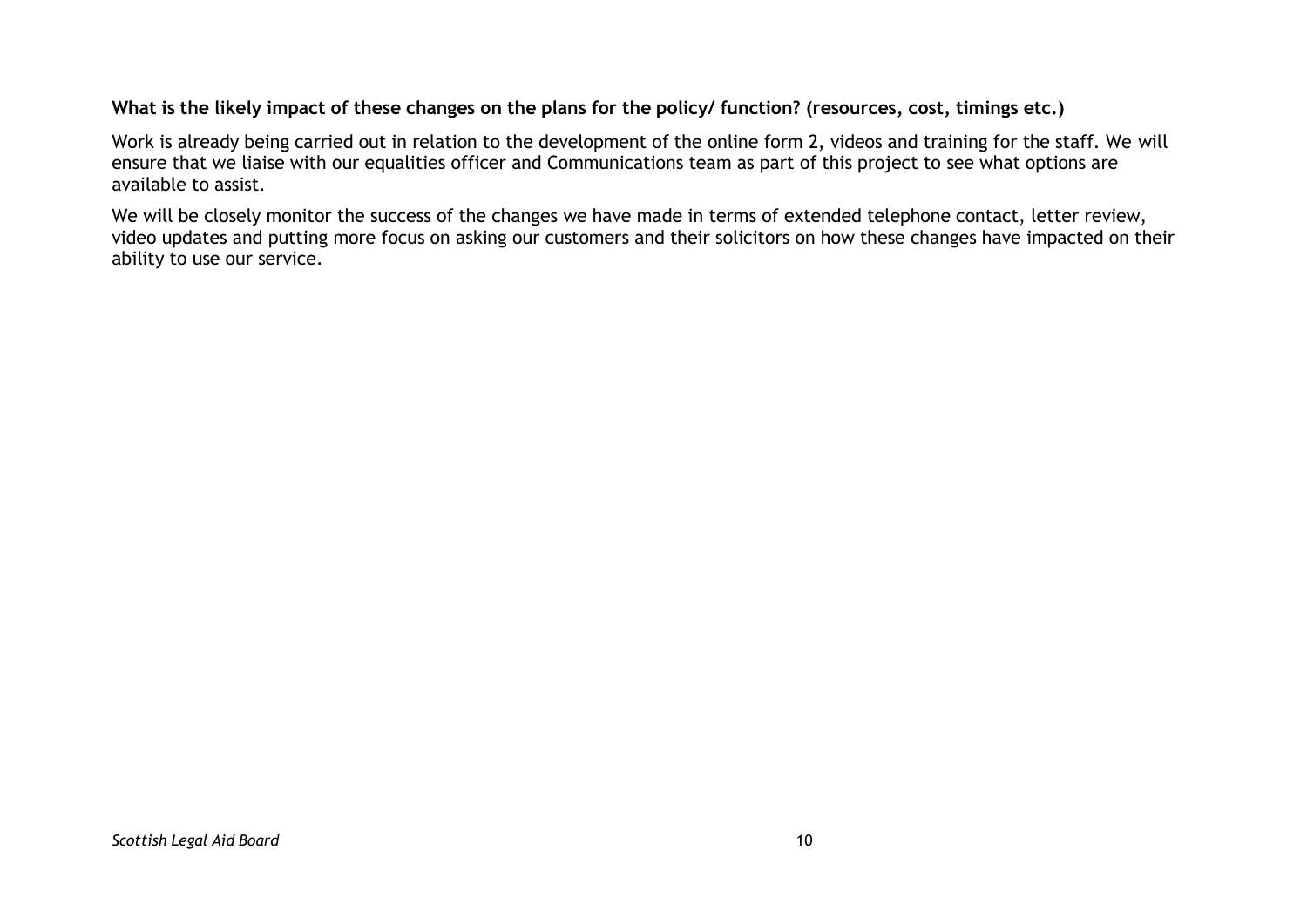#### What is the likely impact of these changes on the plans for the policy/ function? (resources, cost, timings etc.)

Work is already being carried out in relation to the development of the online form 2, videos and training for the staff. We will ensure that we liaise with our equalities officer and Communications team as part of this project to see what options are available to assist.

We will be closely monitor the success of the changes we have made in terms of extended telephone contact, letter review, video updates and putting more focus on asking our customers and their solicitors on how these changes have impacted on their ability to use our service.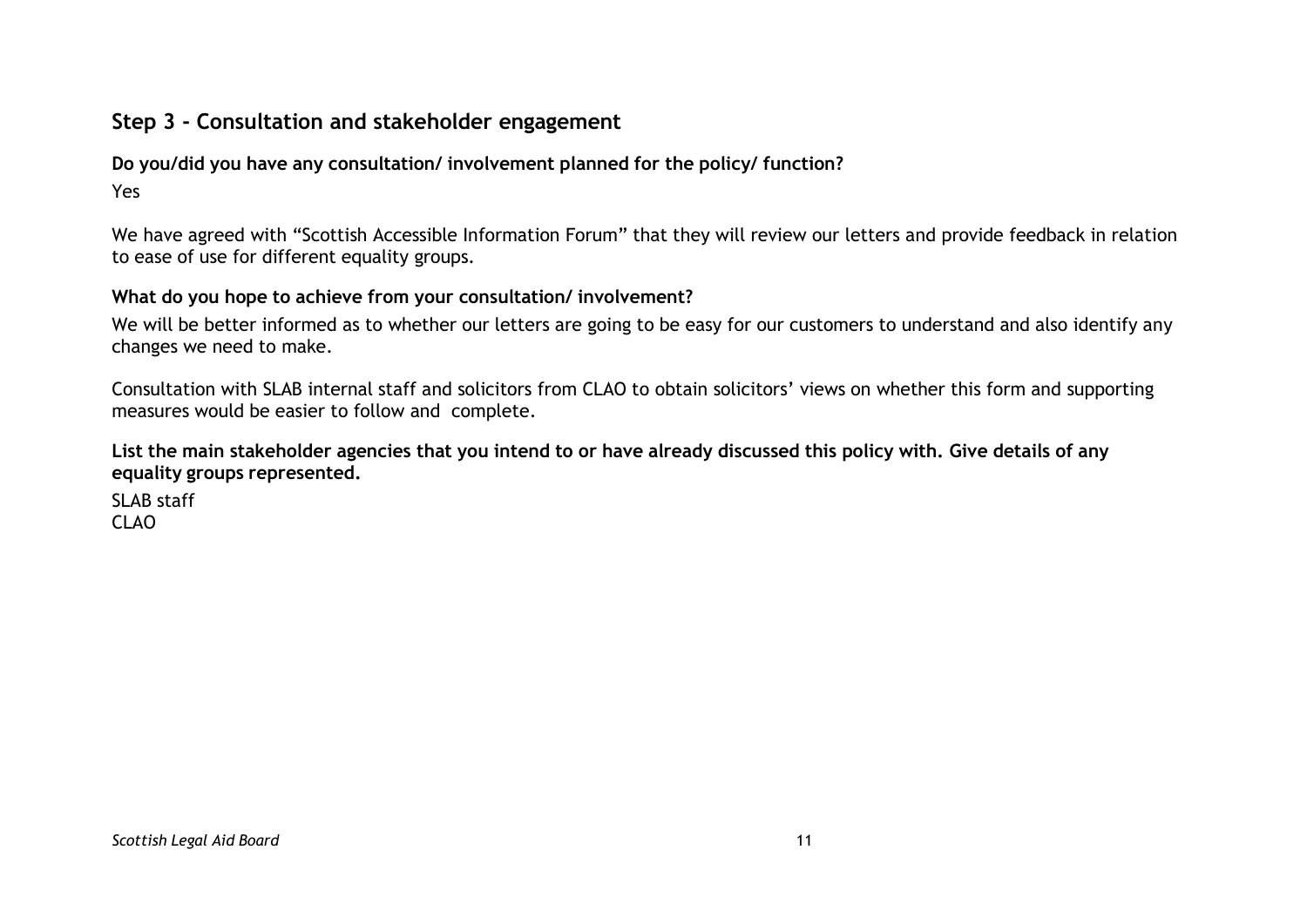## **Step 3 - Consultation and stakeholder engagement**

## **Do you/did you have any consultation/ involvement planned for the policy/ function?**

Yes

We have agreed with "Scottish Accessible Information Forum" that they will review our letters and provide feedback in relation to ease of use for different equality groups.

#### **What do you hope to achieve from your consultation/ involvement?**

We will be better informed as to whether our letters are going to be easy for our customers to understand and also identify any changes we need to make.

Consultation with SLAB internal staff and solicitors from CLAO to obtain solicitors' views on whether this form and supporting measures would be easier to follow and complete.

#### List the main stakeholder agencies that you intend to or have already discussed this policy with. Give details of any **equality groups represented.**

SLAB staff CLAO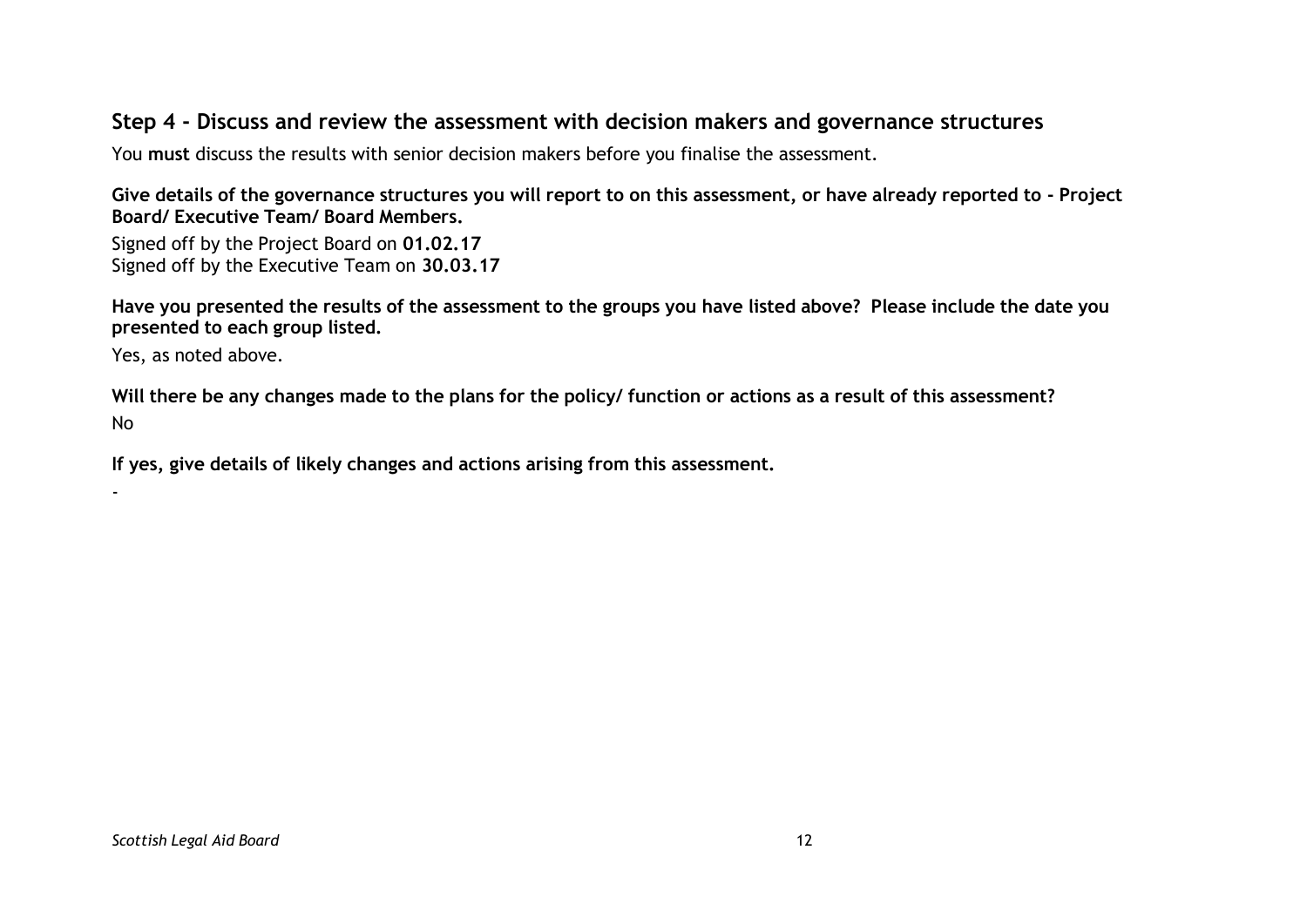## **Step 4 - Discuss and review the assessment with decision makers and governance structures**

You **must** discuss the results with senior decision makers before you finalise the assessment.

Give details of the governance structures you will report to on this assessment, or have already reported to - Project **Board/ Executive Team/ Board Members.**

Signed off by the Project Board on **01.02.17** Signed off by the Executive Team on **30.03.17**

Have you presented the results of the assessment to the groups you have listed above? Please include the date you **presented to each group listed.**

Yes, as noted above.

-

Will there be any changes made to the plans for the policy/ function or actions as a result of this assessment? No

**If yes, give details of likely changes and actions arising from this assessment.**